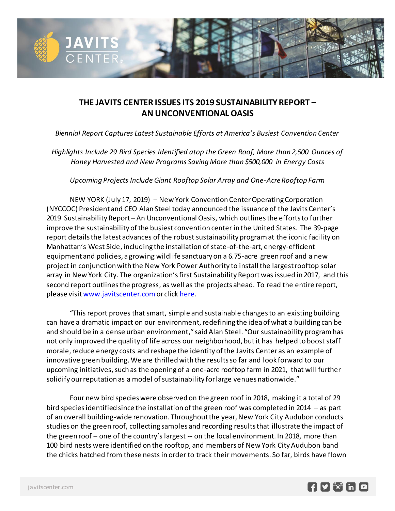

## **THE JAVITS CENTER ISSUES ITS 2019 SUSTAINABILITY REPORT – AN UNCONVENTIONAL OASIS**

 *Biennial Report Captures Latest Sustainable Efforts at America's Busiest Convention Center*

*Highlights Include 29 Bird Species Identified atop the Green Roof, More than 2,500 Ounces of Honey Harvested and New Programs Saving More than \$500,000 in Energy Costs*

*Upcoming Projects Include Giant Rooftop Solar Array and One-Acre Rooftop Farm*

NEW YORK (July 17, 2019) – New York Convention Center Operating Corporation (NYCCOC) President and CEO Alan Steel today announced the issuance of the Javits Center's 2019 Sustainability Report – An Unconventional Oasis, which outlines the efforts to further improve the sustainability of the busiest convention center in the United States. The 39-page report details the latest advances of the robust sustainability program at the iconic facility on Manhattan's West Side, including the installation of state-of-the-art, energy-efficient equipment and policies, a growing wildlife sanctuary on a 6.75-acre green roof and a new project in conjunction with the New York Power Authority to install the largest rooftop solar array in New York City. The organization's first Sustainability Report was issued in 2017, and this second report outlines the progress, as well as the projects ahead. To read the entire report, please visi[t www.javitscenter.com](http://www.javitscenter.com/) or clic[k here.](https://issuu.com/javitscenter/docs/8725_javits_sustainabilityreport201)

"This report proves that smart, simple and sustainable changes to an existing building can have a dramatic impact on our environment, redefining the idea of what a building can be and should be in a dense urban environment," said Alan Steel. "Our sustainability program has not only improved the quality of life across our neighborhood, but it has helped to boost staff morale, reduce energy costs and reshape the identity of the Javits Center as an example of innovative green building. We are thrilled with the results so far and look forward to our upcoming initiatives, such as the opening of a one-acre rooftop farm in 2021, that will further solidify our reputation as a model of sustainability for large venues nationwide."

Four new bird species were observed on the green roof in 2018, making it a total of 29 bird species identified since the installation of the green roof was completed in 2014 – as part of an overall building-wide renovation. Throughout the year, New York City Audubon conducts studies on the green roof, collecting samples and recording results that illustrate the impact of the green roof – one of the country's largest -- on the local environment. In 2018, more than 100 bird nests were identified on the rooftop, and members of New York City Audubon band the chicks hatched from these nests in order to track their movements. So far, birds have flown

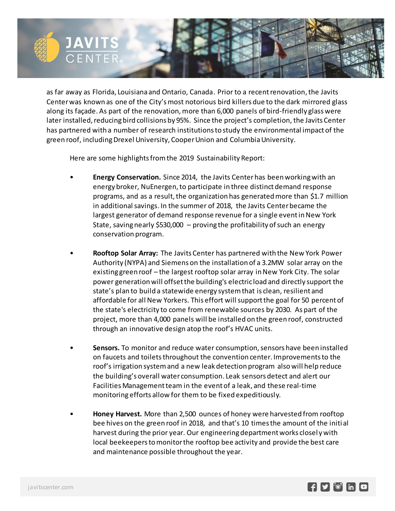

as far away as Florida, Louisiana and Ontario, Canada. Prior to a recent renovation, the Javits Center was known as one of the City's most notorious bird killers due to the dark mirrored glass along its façade. As part of the renovation, more than 6,000 panels of bird-friendly glass were later installed, reducing bird collisions by 95%. Since the project's completion, the Javits Center has partnered with a number of research institutions to study the environmental impact of the green roof, including Drexel University, Cooper Union and Columbia University.

Here are some highlights from the 2019 Sustainability Report:

- **Energy Conservation.** Since 2014, the Javits Center has been working with an energy broker, NuEnergen, to participate in three distinct demand response programs, and as a result, the organization has generated more than \$1.7 million in additional savings. In the summer of 2018, the Javits Center became the largest generator of demand response revenue for a single event in New York State, saving nearly \$530,000 – proving the profitability of such an energy conservation program.
- **Rooftop Solar Array:** The Javits Center has partnered with the New York Power Authority (NYPA) and Siemens on the installation of a 3.2MW solar array on the existing green roof – the largest rooftop solar array in New York City. The solar power generation will offset the building's electric load and directly support the state's plan to build a statewide energy system that is clean, resilient and affordable for all New Yorkers. This effort will support the goal for 50 percent of the state's electricity to come from renewable sources by 2030. As part of the project, more than 4,000 panels will be installed on the green roof, constructed through an innovative design atop the roof's HVAC units.
- **Sensors.** To monitor and reduce water consumption, sensors have been installed on faucets and toiletsthroughout the convention center. Improvements to the roof's irrigation system and a new leak detection program also will help reduce the building's overall water consumption. Leak sensors detect and alert our Facilities Management team in the event of a leak, and these real-time monitoring efforts allow for them to be fixed expeditiously.
- **Honey Harvest.** More than 2,500 ounces of honey were harvested from rooftop bee hives on the green roof in 2018, and that's 10 times the amount of the initi al harvest during the prior year. Our engineering department works closel y with local beekeepers to monitor the rooftop bee activity and provide the best care and maintenance possible throughout the year.